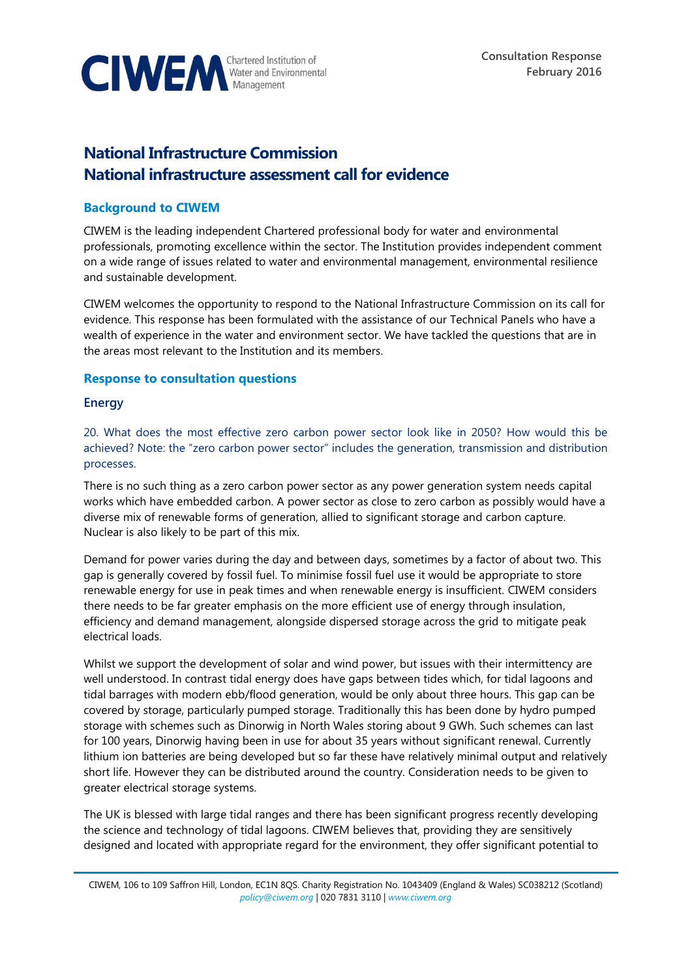

# **National Infrastructure Commission National infrastructure assessment call for evidence**

## **Background to CIWEM**

CIWEM is the leading independent Chartered professional body for water and environmental professionals, promoting excellence within the sector. The Institution provides independent comment on a wide range of issues related to water and environmental management, environmental resilience and sustainable development.

CIWEM welcomes the opportunity to respond to the National Infrastructure Commission on its call for evidence. This response has been formulated with the assistance of our Technical Panels who have a wealth of experience in the water and environment sector. We have tackled the questions that are in the areas most relevant to the Institution and its members.

## **Response to consultation questions**

## **Energy**

20. What does the most effective zero carbon power sector look like in 2050? How would this be achieved? Note: the "zero carbon power sector" includes the generation, transmission and distribution processes.

There is no such thing as a zero carbon power sector as any power generation system needs capital works which have embedded carbon. A power sector as close to zero carbon as possibly would have a diverse mix of renewable forms of generation, allied to significant storage and carbon capture. Nuclear is also likely to be part of this mix.

Demand for power varies during the day and between days, sometimes by a factor of about two. This gap is generally covered by fossil fuel. To minimise fossil fuel use it would be appropriate to store renewable energy for use in peak times and when renewable energy is insufficient. CIWEM considers there needs to be far greater emphasis on the more efficient use of energy through insulation, efficiency and demand management, alongside dispersed storage across the grid to mitigate peak electrical loads.

Whilst we support the development of solar and wind power, but issues with their intermittency are well understood. In contrast tidal energy does have gaps between tides which, for tidal lagoons and tidal barrages with modern ebb/flood generation, would be only about three hours. This gap can be covered by storage, particularly pumped storage. Traditionally this has been done by hydro pumped storage with schemes such as Dinorwig in North Wales storing about 9 GWh. Such schemes can last for 100 years, Dinorwig having been in use for about 35 years without significant renewal. Currently lithium ion batteries are being developed but so far these have relatively minimal output and relatively short life. However they can be distributed around the country. Consideration needs to be given to greater electrical storage systems.

The UK is blessed with large tidal ranges and there has been significant progress recently developing the science and technology of tidal lagoons. CIWEM believes that, providing they are sensitively designed and located with appropriate regard for the environment, they offer significant potential to

CIWEM, 106 to 109 Saffron Hill, London, EC1N 8QS. Charity Registration No. 1043409 (England & Wales) SC038212 (Scotland) *[policy@ciwem.org](mailto:policy@ciwem.org)* | 020 7831 3110 | *[www.ciwem.org](http://www.ciwem.org/)*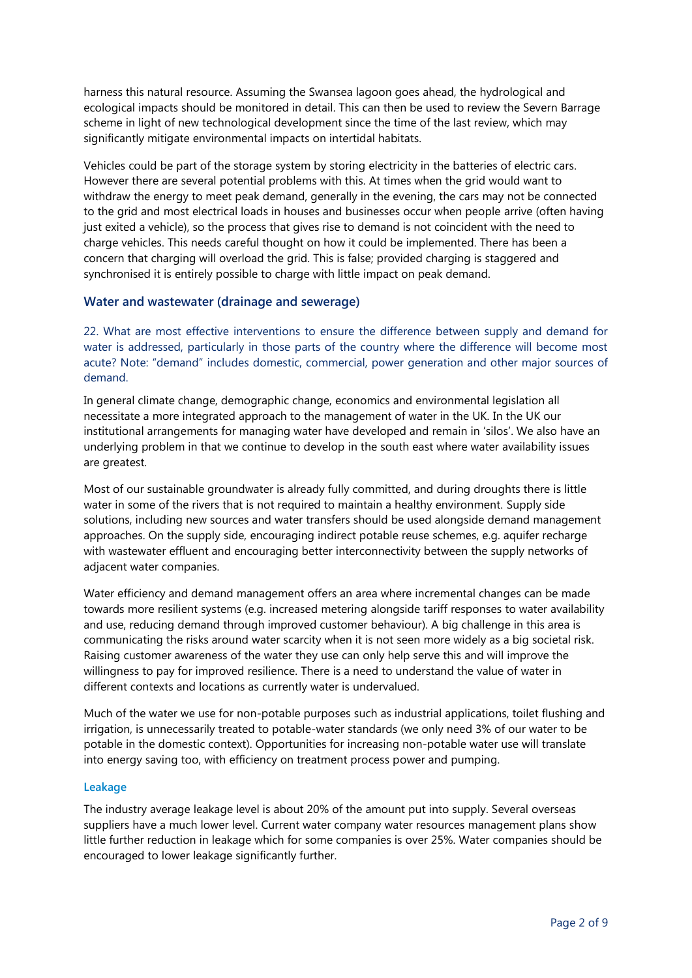harness this natural resource. Assuming the Swansea lagoon goes ahead, the hydrological and ecological impacts should be monitored in detail. This can then be used to review the Severn Barrage scheme in light of new technological development since the time of the last review, which may significantly mitigate environmental impacts on intertidal habitats.

Vehicles could be part of the storage system by storing electricity in the batteries of electric cars. However there are several potential problems with this. At times when the grid would want to withdraw the energy to meet peak demand, generally in the evening, the cars may not be connected to the grid and most electrical loads in houses and businesses occur when people arrive (often having just exited a vehicle), so the process that gives rise to demand is not coincident with the need to charge vehicles. This needs careful thought on how it could be implemented. There has been a concern that charging will overload the grid. This is false; provided charging is staggered and synchronised it is entirely possible to charge with little impact on peak demand.

## **Water and wastewater (drainage and sewerage)**

22. What are most effective interventions to ensure the difference between supply and demand for water is addressed, particularly in those parts of the country where the difference will become most acute? Note: "demand" includes domestic, commercial, power generation and other major sources of demand.

In general climate change, demographic change, economics and environmental legislation all necessitate a more integrated approach to the management of water in the UK. In the UK our institutional arrangements for managing water have developed and remain in 'silos'. We also have an underlying problem in that we continue to develop in the south east where water availability issues are greatest.

Most of our sustainable groundwater is already fully committed, and during droughts there is little water in some of the rivers that is not required to maintain a healthy environment. Supply side solutions, including new sources and water transfers should be used alongside demand management approaches. On the supply side, encouraging indirect potable reuse schemes, e.g. aquifer recharge with wastewater effluent and encouraging better interconnectivity between the supply networks of adiacent water companies.

Water efficiency and demand management offers an area where incremental changes can be made towards more resilient systems (e.g. increased metering alongside tariff responses to water availability and use, reducing demand through improved customer behaviour). A big challenge in this area is communicating the risks around water scarcity when it is not seen more widely as a big societal risk. Raising customer awareness of the water they use can only help serve this and will improve the willingness to pay for improved resilience. There is a need to understand the value of water in different contexts and locations as currently water is undervalued.

Much of the water we use for non-potable purposes such as industrial applications, toilet flushing and irrigation, is unnecessarily treated to potable-water standards (we only need 3% of our water to be potable in the domestic context). Opportunities for increasing non-potable water use will translate into energy saving too, with efficiency on treatment process power and pumping.

#### **Leakage**

The industry average leakage level is about 20% of the amount put into supply. Several overseas suppliers have a much lower level. Current water company water resources management plans show little further reduction in leakage which for some companies is over 25%. Water companies should be encouraged to lower leakage significantly further.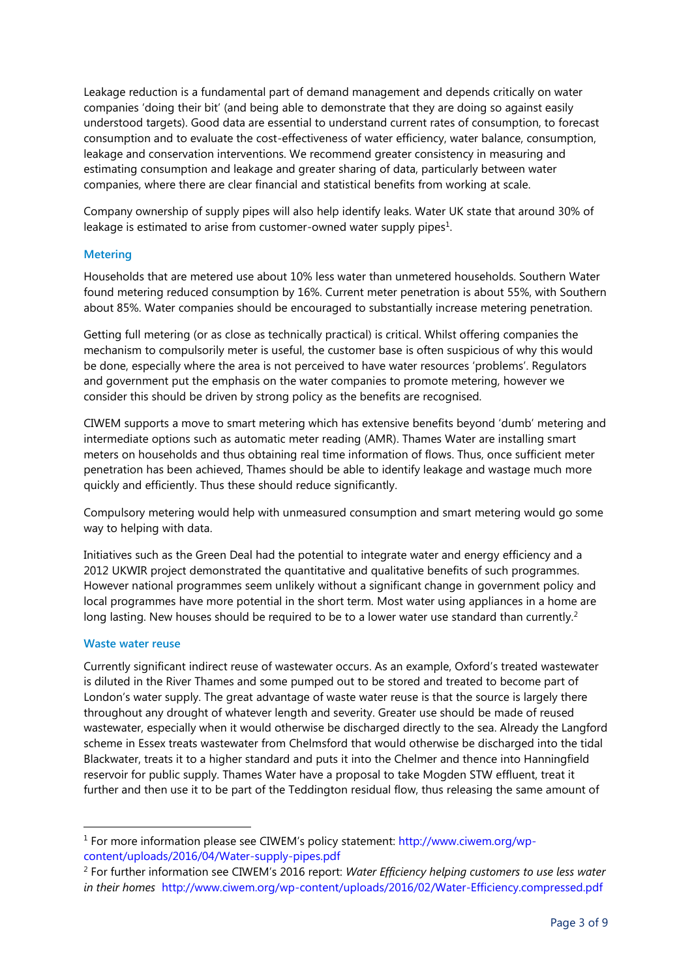Leakage reduction is a fundamental part of demand management and depends critically on water companies 'doing their bit' (and being able to demonstrate that they are doing so against easily understood targets). Good data are essential to understand current rates of consumption, to forecast consumption and to evaluate the cost-effectiveness of water efficiency, water balance, consumption, leakage and conservation interventions. We recommend greater consistency in measuring and estimating consumption and leakage and greater sharing of data, particularly between water companies, where there are clear financial and statistical benefits from working at scale.

Company ownership of supply pipes will also help identify leaks. Water UK state that around 30% of leakage is estimated to arise from customer-owned water supply pipes $1$ .

#### **Metering**

Households that are metered use about 10% less water than unmetered households. Southern Water found metering reduced consumption by 16%. Current meter penetration is about 55%, with Southern about 85%. Water companies should be encouraged to substantially increase metering penetration.

Getting full metering (or as close as technically practical) is critical. Whilst offering companies the mechanism to compulsorily meter is useful, the customer base is often suspicious of why this would be done, especially where the area is not perceived to have water resources 'problems'. Regulators and government put the emphasis on the water companies to promote metering, however we consider this should be driven by strong policy as the benefits are recognised.

CIWEM supports a move to smart metering which has extensive benefits beyond 'dumb' metering and intermediate options such as automatic meter reading (AMR). Thames Water are installing smart meters on households and thus obtaining real time information of flows. Thus, once sufficient meter penetration has been achieved, Thames should be able to identify leakage and wastage much more quickly and efficiently. Thus these should reduce significantly.

Compulsory metering would help with unmeasured consumption and smart metering would go some way to helping with data.

Initiatives such as the Green Deal had the potential to integrate water and energy efficiency and a 2012 UKWIR project demonstrated the quantitative and qualitative benefits of such programmes. However national programmes seem unlikely without a significant change in government policy and local programmes have more potential in the short term. Most water using appliances in a home are long lasting. New houses should be required to be to a lower water use standard than currently.<sup>2</sup>

#### **Waste water reuse**

-

Currently significant indirect reuse of wastewater occurs. As an example, Oxford's treated wastewater is diluted in the River Thames and some pumped out to be stored and treated to become part of London's water supply. The great advantage of waste water reuse is that the source is largely there throughout any drought of whatever length and severity. Greater use should be made of reused wastewater, especially when it would otherwise be discharged directly to the sea. Already the Langford scheme in Essex treats wastewater from Chelmsford that would otherwise be discharged into the tidal Blackwater, treats it to a higher standard and puts it into the Chelmer and thence into Hanningfield reservoir for public supply. Thames Water have a proposal to take Mogden STW effluent, treat it further and then use it to be part of the Teddington residual flow, thus releasing the same amount of

<sup>&</sup>lt;sup>1</sup> For more information please see CIWEM's policy statement: [http://www.ciwem.org/wp](http://www.ciwem.org/wp-content/uploads/2016/04/Water-supply-pipes.pdf)[content/uploads/2016/04/Water-supply-pipes.pdf](http://www.ciwem.org/wp-content/uploads/2016/04/Water-supply-pipes.pdf)

<sup>2</sup> For further information see CIWEM's 2016 report: *Water Efficiency helping customers to use less water in their homes* <http://www.ciwem.org/wp-content/uploads/2016/02/Water-Efficiency.compressed.pdf>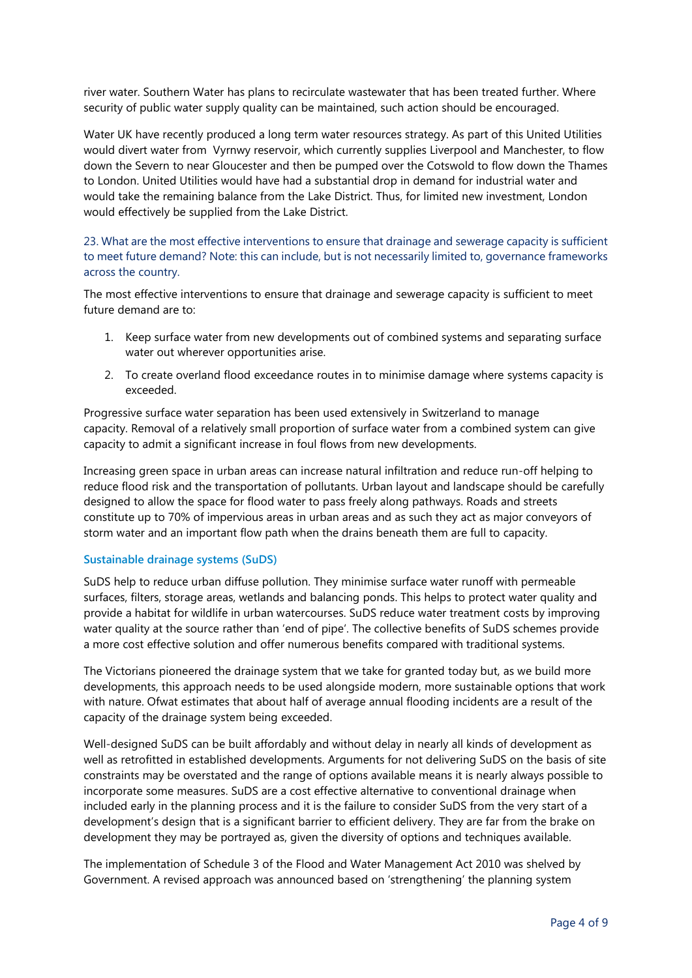river water. Southern Water has plans to recirculate wastewater that has been treated further. Where security of public water supply quality can be maintained, such action should be encouraged.

Water UK have recently produced a long term water resources strategy. As part of this United Utilities would divert water from Vyrnwy reservoir, which currently supplies Liverpool and Manchester, to flow down the Severn to near Gloucester and then be pumped over the Cotswold to flow down the Thames to London. United Utilities would have had a substantial drop in demand for industrial water and would take the remaining balance from the Lake District. Thus, for limited new investment, London would effectively be supplied from the Lake District.

23. What are the most effective interventions to ensure that drainage and sewerage capacity is sufficient to meet future demand? Note: this can include, but is not necessarily limited to, governance frameworks across the country.

The most effective interventions to ensure that drainage and sewerage capacity is sufficient to meet future demand are to:

- 1. Keep surface water from new developments out of combined systems and separating surface water out wherever opportunities arise.
- 2. To create overland flood exceedance routes in to minimise damage where systems capacity is exceeded.

Progressive surface water separation has been used extensively in Switzerland to manage capacity. Removal of a relatively small proportion of surface water from a combined system can give capacity to admit a significant increase in foul flows from new developments.

Increasing green space in urban areas can increase natural infiltration and reduce run-off helping to reduce flood risk and the transportation of pollutants. Urban layout and landscape should be carefully designed to allow the space for flood water to pass freely along pathways. Roads and streets constitute up to 70% of impervious areas in urban areas and as such they act as major conveyors of storm water and an important flow path when the drains beneath them are full to capacity.

## **Sustainable drainage systems (SuDS)**

SuDS help to reduce urban diffuse pollution. They minimise surface water runoff with permeable surfaces, filters, storage areas, wetlands and balancing ponds. This helps to protect water quality and provide a habitat for wildlife in urban watercourses. SuDS reduce water treatment costs by improving water quality at the source rather than 'end of pipe'. The collective benefits of SuDS schemes provide a more cost effective solution and offer numerous benefits compared with traditional systems.

The Victorians pioneered the drainage system that we take for granted today but, as we build more developments, this approach needs to be used alongside modern, more sustainable options that work with nature. Ofwat estimates that about half of average annual flooding incidents are a result of the capacity of the drainage system being exceeded.

Well-designed SuDS can be built affordably and without delay in nearly all kinds of development as well as retrofitted in established developments. Arguments for not delivering SuDS on the basis of site constraints may be overstated and the range of options available means it is nearly always possible to incorporate some measures. SuDS are a cost effective alternative to conventional drainage when included early in the planning process and it is the failure to consider SuDS from the very start of a development's design that is a significant barrier to efficient delivery. They are far from the brake on development they may be portrayed as, given the diversity of options and techniques available.

The implementation of Schedule 3 of the Flood and Water Management Act 2010 was shelved by Government. A revised approach was announced based on 'strengthening' the planning system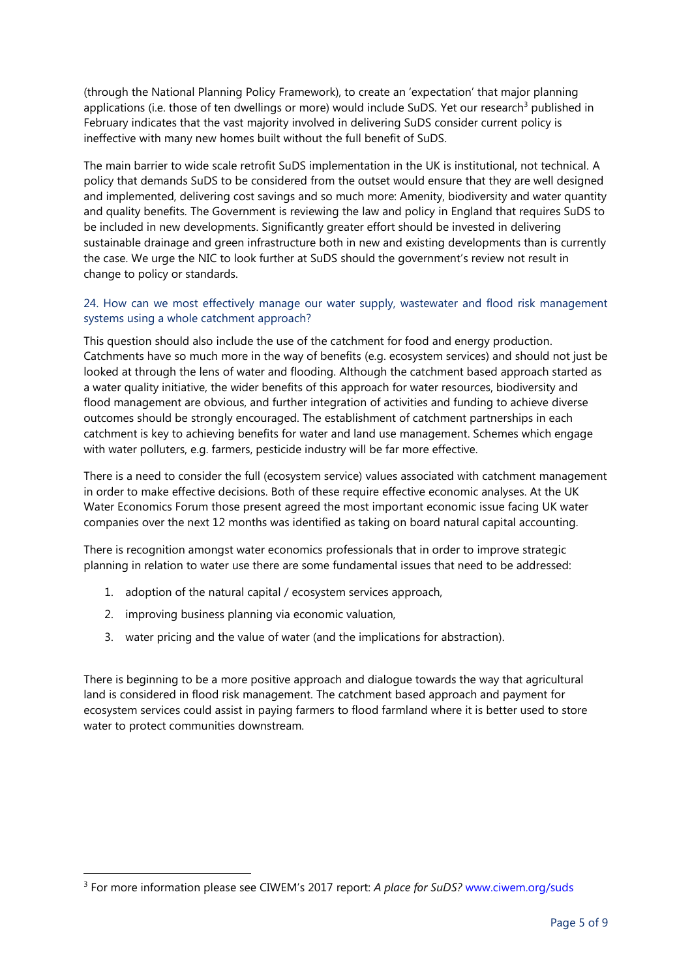(through the National Planning Policy Framework), to create an 'expectation' that major planning applications (i.e. those of ten dwellings or more) would include SuDS. Yet our research<sup>3</sup> published in February indicates that the vast majority involved in delivering SuDS consider current policy is ineffective with many new homes built without the full benefit of SuDS.

The main barrier to wide scale retrofit SuDS implementation in the UK is institutional, not technical. A policy that demands SuDS to be considered from the outset would ensure that they are well designed and implemented, delivering cost savings and so much more: Amenity, biodiversity and water quantity and quality benefits. The Government is reviewing the law and policy in England that requires SuDS to be included in new developments. Significantly greater effort should be invested in delivering sustainable drainage and green infrastructure both in new and existing developments than is currently the case. We urge the NIC to look further at SuDS should the government's review not result in change to policy or standards.

## 24. How can we most effectively manage our water supply, wastewater and flood risk management systems using a whole catchment approach?

This question should also include the use of the catchment for food and energy production. Catchments have so much more in the way of benefits (e.g. ecosystem services) and should not just be looked at through the lens of water and flooding. Although the catchment based approach started as a water quality initiative, the wider benefits of this approach for water resources, biodiversity and flood management are obvious, and further integration of activities and funding to achieve diverse outcomes should be strongly encouraged. The establishment of catchment partnerships in each catchment is key to achieving benefits for water and land use management. Schemes which engage with water polluters, e.g. farmers, pesticide industry will be far more effective.

There is a need to consider the full (ecosystem service) values associated with catchment management in order to make effective decisions. Both of these require effective economic analyses. At the UK Water Economics Forum those present agreed the most important economic issue facing UK water companies over the next 12 months was identified as taking on board natural capital accounting.

There is recognition amongst water economics professionals that in order to improve strategic planning in relation to water use there are some fundamental issues that need to be addressed:

- 1. adoption of the natural capital / ecosystem services approach,
- 2. improving business planning via economic valuation,

 $\overline{\phantom{a}}$ 

3. water pricing and the value of water (and the implications for abstraction).

There is beginning to be a more positive approach and dialogue towards the way that agricultural land is considered in flood risk management. The catchment based approach and payment for ecosystem services could assist in paying farmers to flood farmland where it is better used to store water to protect communities downstream.

<sup>3</sup> For more information please see CIWEM's 2017 report: *A place for SuDS?* [www.ciwem.org/suds](http://www.ciwem.org/suds)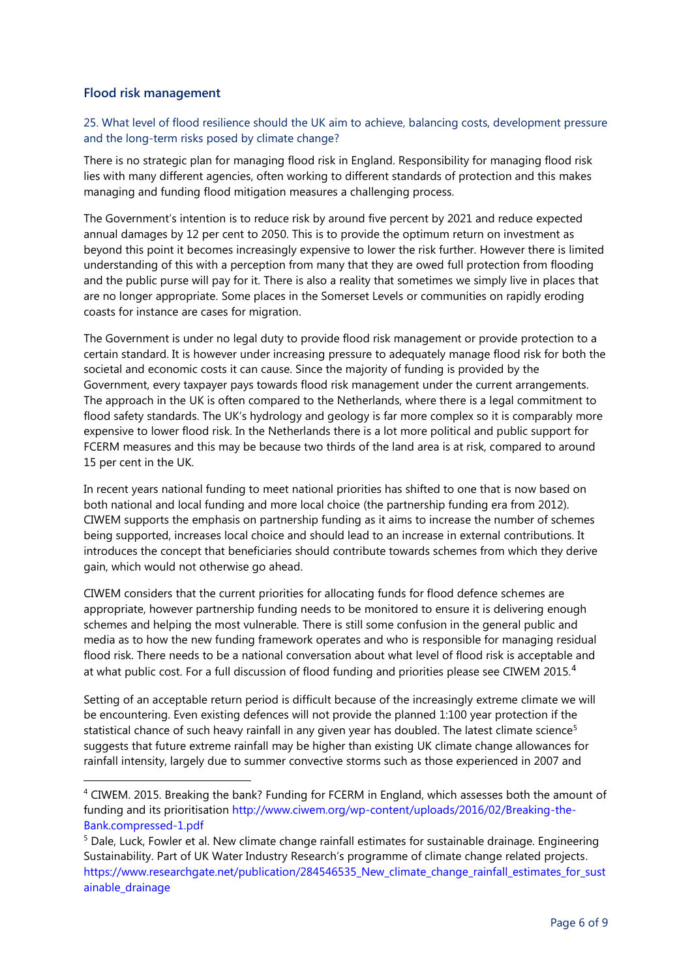## **Flood risk management**

 $\overline{a}$ 

25. What level of flood resilience should the UK aim to achieve, balancing costs, development pressure and the long-term risks posed by climate change?

There is no strategic plan for managing flood risk in England. Responsibility for managing flood risk lies with many different agencies, often working to different standards of protection and this makes managing and funding flood mitigation measures a challenging process.

The Government's intention is to reduce risk by around five percent by 2021 and reduce expected annual damages by 12 per cent to 2050. This is to provide the optimum return on investment as beyond this point it becomes increasingly expensive to lower the risk further. However there is limited understanding of this with a perception from many that they are owed full protection from flooding and the public purse will pay for it. There is also a reality that sometimes we simply live in places that are no longer appropriate. Some places in the Somerset Levels or communities on rapidly eroding coasts for instance are cases for migration.

The Government is under no legal duty to provide flood risk management or provide protection to a certain standard. It is however under increasing pressure to adequately manage flood risk for both the societal and economic costs it can cause. Since the majority of funding is provided by the Government, every taxpayer pays towards flood risk management under the current arrangements. The approach in the UK is often compared to the Netherlands, where there is a legal commitment to flood safety standards. The UK's hydrology and geology is far more complex so it is comparably more expensive to lower flood risk. In the Netherlands there is a lot more political and public support for FCERM measures and this may be because two thirds of the land area is at risk, compared to around 15 per cent in the UK.

In recent years national funding to meet national priorities has shifted to one that is now based on both national and local funding and more local choice (the partnership funding era from 2012). CIWEM supports the emphasis on partnership funding as it aims to increase the number of schemes being supported, increases local choice and should lead to an increase in external contributions. It introduces the concept that beneficiaries should contribute towards schemes from which they derive gain, which would not otherwise go ahead.

CIWEM considers that the current priorities for allocating funds for flood defence schemes are appropriate, however partnership funding needs to be monitored to ensure it is delivering enough schemes and helping the most vulnerable. There is still some confusion in the general public and media as to how the new funding framework operates and who is responsible for managing residual flood risk. There needs to be a national conversation about what level of flood risk is acceptable and at what public cost. For a full discussion of flood funding and priorities please see CIWEM 2015.<sup>4</sup>

Setting of an acceptable return period is difficult because of the increasingly extreme climate we will be encountering. Even existing defences will not provide the planned 1:100 year protection if the statistical chance of such heavy rainfall in any given year has doubled. The latest climate science<sup>5</sup> suggests that future extreme rainfall may be higher than existing UK climate change allowances for rainfall intensity, largely due to summer convective storms such as those experienced in 2007 and

<sup>4</sup> CIWEM. 2015. Breaking the bank? Funding for FCERM in England, which assesses both the amount of funding and its prioritisation [http://www.ciwem.org/wp-content/uploads/2016/02/Breaking-the-](http://www.ciwem.org/wp-content/uploads/2016/02/Breaking-the-Bank.compressed-1.pdf)[Bank.compressed-1.pdf](http://www.ciwem.org/wp-content/uploads/2016/02/Breaking-the-Bank.compressed-1.pdf)

<sup>5</sup> Dale, Luck, Fowler et al. New climate change rainfall estimates for sustainable drainage. Engineering Sustainability. Part of UK Water Industry Research's programme of climate change related projects. https://www.researchgate.net/publication/284546535 New climate change rainfall estimates for sust ainable drainage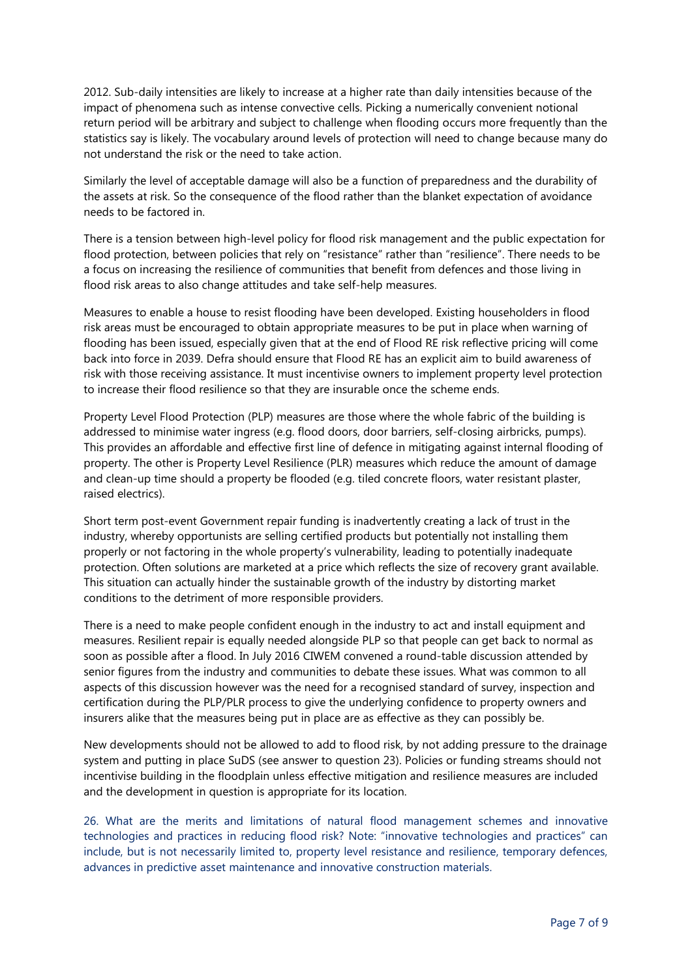2012. Sub-daily intensities are likely to increase at a higher rate than daily intensities because of the impact of phenomena such as intense convective cells. Picking a numerically convenient notional return period will be arbitrary and subject to challenge when flooding occurs more frequently than the statistics say is likely. The vocabulary around levels of protection will need to change because many do not understand the risk or the need to take action.

Similarly the level of acceptable damage will also be a function of preparedness and the durability of the assets at risk. So the consequence of the flood rather than the blanket expectation of avoidance needs to be factored in.

There is a tension between high-level policy for flood risk management and the public expectation for flood protection, between policies that rely on "resistance" rather than "resilience". There needs to be a focus on increasing the resilience of communities that benefit from defences and those living in flood risk areas to also change attitudes and take self-help measures.

Measures to enable a house to resist flooding have been developed. Existing householders in flood risk areas must be encouraged to obtain appropriate measures to be put in place when warning of flooding has been issued, especially given that at the end of Flood RE risk reflective pricing will come back into force in 2039. Defra should ensure that Flood RE has an explicit aim to build awareness of risk with those receiving assistance. It must incentivise owners to implement property level protection to increase their flood resilience so that they are insurable once the scheme ends.

Property Level Flood Protection (PLP) measures are those where the whole fabric of the building is addressed to minimise water ingress (e.g. flood doors, door barriers, self-closing airbricks, pumps). This provides an affordable and effective first line of defence in mitigating against internal flooding of property. The other is Property Level Resilience (PLR) measures which reduce the amount of damage and clean-up time should a property be flooded (e.g. tiled concrete floors, water resistant plaster, raised electrics).

Short term post-event Government repair funding is inadvertently creating a lack of trust in the industry, whereby opportunists are selling certified products but potentially not installing them properly or not factoring in the whole property's vulnerability, leading to potentially inadequate protection. Often solutions are marketed at a price which reflects the size of recovery grant available. This situation can actually hinder the sustainable growth of the industry by distorting market conditions to the detriment of more responsible providers.

There is a need to make people confident enough in the industry to act and install equipment and measures. Resilient repair is equally needed alongside PLP so that people can get back to normal as soon as possible after a flood. In July 2016 CIWEM convened a round-table discussion attended by senior figures from the industry and communities to debate these issues. What was common to all aspects of this discussion however was the need for a recognised standard of survey, inspection and certification during the PLP/PLR process to give the underlying confidence to property owners and insurers alike that the measures being put in place are as effective as they can possibly be.

New developments should not be allowed to add to flood risk, by not adding pressure to the drainage system and putting in place SuDS (see answer to question 23). Policies or funding streams should not incentivise building in the floodplain unless effective mitigation and resilience measures are included and the development in question is appropriate for its location.

26. What are the merits and limitations of natural flood management schemes and innovative technologies and practices in reducing flood risk? Note: "innovative technologies and practices" can include, but is not necessarily limited to, property level resistance and resilience, temporary defences, advances in predictive asset maintenance and innovative construction materials.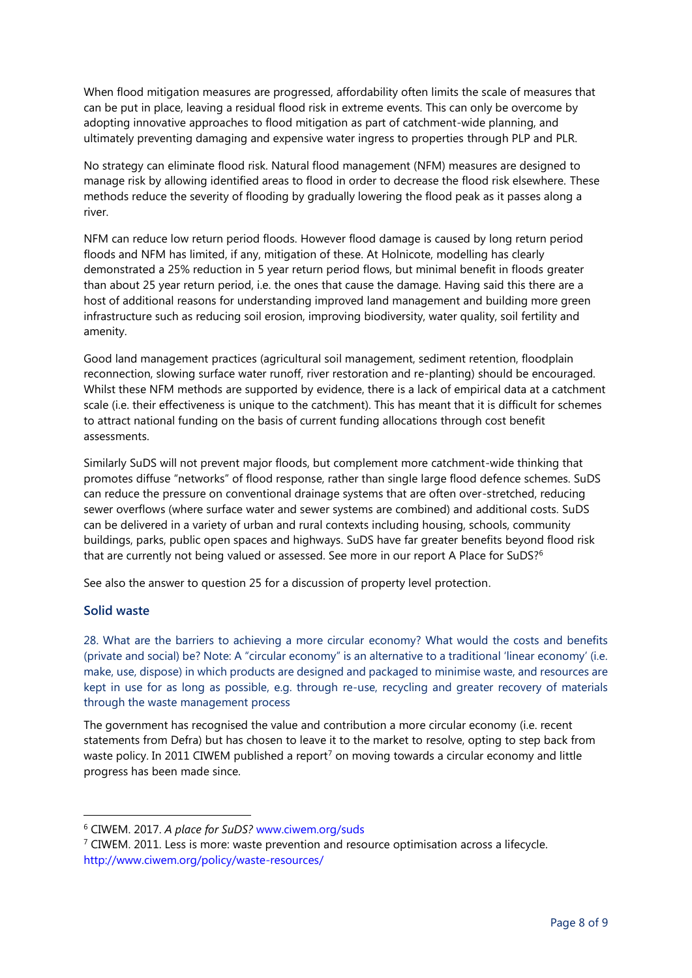When flood mitigation measures are progressed, affordability often limits the scale of measures that can be put in place, leaving a residual flood risk in extreme events. This can only be overcome by adopting innovative approaches to flood mitigation as part of catchment-wide planning, and ultimately preventing damaging and expensive water ingress to properties through PLP and PLR.

No strategy can eliminate flood risk. Natural flood management (NFM) measures are designed to manage risk by allowing identified areas to flood in order to decrease the flood risk elsewhere. These methods reduce the severity of flooding by gradually lowering the flood peak as it passes along a river.

NFM can reduce low return period floods. However flood damage is caused by long return period floods and NFM has limited, if any, mitigation of these. At Holnicote, modelling has clearly demonstrated a 25% reduction in 5 year return period flows, but minimal benefit in floods greater than about 25 year return period, i.e. the ones that cause the damage. Having said this there are a host of additional reasons for understanding improved land management and building more green infrastructure such as reducing soil erosion, improving biodiversity, water quality, soil fertility and amenity.

Good land management practices (agricultural soil management, sediment retention, floodplain reconnection, slowing surface water runoff, river restoration and re-planting) should be encouraged. Whilst these NFM methods are supported by evidence, there is a lack of empirical data at a catchment scale (i.e. their effectiveness is unique to the catchment). This has meant that it is difficult for schemes to attract national funding on the basis of current funding allocations through cost benefit assessments.

Similarly SuDS will not prevent major floods, but complement more catchment-wide thinking that promotes diffuse "networks" of flood response, rather than single large flood defence schemes. SuDS can reduce the pressure on conventional drainage systems that are often over-stretched, reducing sewer overflows (where surface water and sewer systems are combined) and additional costs. SuDS can be delivered in a variety of urban and rural contexts including housing, schools, community buildings, parks, public open spaces and highways. SuDS have far greater benefits beyond flood risk that are currently not being valued or assessed. See more in our report A Place for SuDS?<sup>6</sup>

See also the answer to question 25 for a discussion of property level protection.

## **Solid waste**

-

28. What are the barriers to achieving a more circular economy? What would the costs and benefits (private and social) be? Note: A "circular economy" is an alternative to a traditional 'linear economy' (i.e. make, use, dispose) in which products are designed and packaged to minimise waste, and resources are kept in use for as long as possible, e.g. through re-use, recycling and greater recovery of materials through the waste management process

The government has recognised the value and contribution a more circular economy (i.e. recent statements from Defra) but has chosen to leave it to the market to resolve, opting to step back from waste policy. In 2011 CIWEM published a report<sup>7</sup> on moving towards a circular economy and little progress has been made since.

<sup>6</sup> CIWEM. 2017. *A place for SuDS?* [www.ciwem.org/suds](http://www.ciwem.org/suds)

 $<sup>7</sup>$  CIWEM. 2011. Less is more: waste prevention and resource optimisation across a lifecycle.</sup> <http://www.ciwem.org/policy/waste-resources/>